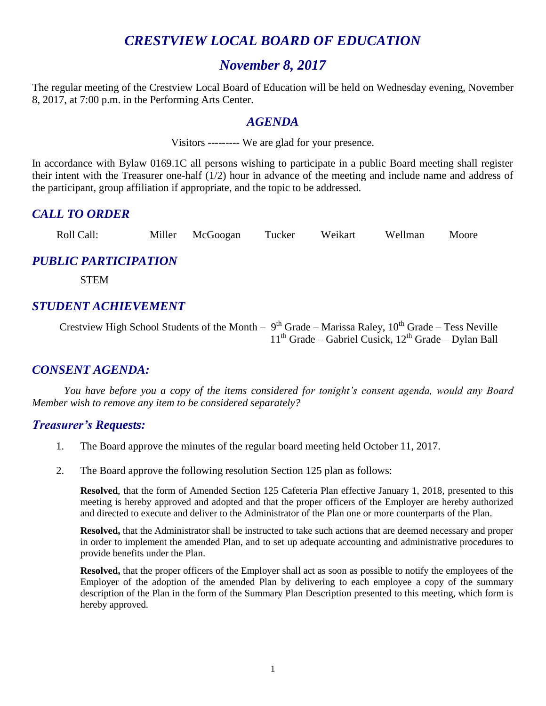## *CRESTVIEW LOCAL BOARD OF EDUCATION*

#### *November 8, 2017*

The regular meeting of the Crestview Local Board of Education will be held on Wednesday evening, November 8, 2017, at 7:00 p.m. in the Performing Arts Center.

#### *AGENDA*

Visitors --------- We are glad for your presence.

In accordance with Bylaw 0169.1C all persons wishing to participate in a public Board meeting shall register their intent with the Treasurer one-half (1/2) hour in advance of the meeting and include name and address of the participant, group affiliation if appropriate, and the topic to be addressed.

#### *CALL TO ORDER*

Roll Call: Miller McGoogan Tucker Weikart Wellman Moore

#### *PUBLIC PARTICIPATION*

STEM

#### *STUDENT ACHIEVEMENT*

Crestview High School Students of the Month –  $9<sup>th</sup>$  Grade – Marissa Raley,  $10<sup>th</sup>$  Grade – Tess Neville  $11<sup>th</sup>$  Grade – Gabriel Cusick,  $12<sup>th</sup>$  Grade – Dylan Ball

#### *CONSENT AGENDA:*

*You have before you a copy of the items considered for tonight's consent agenda, would any Board Member wish to remove any item to be considered separately?*

#### *Treasurer's Requests:*

- 1. The Board approve the minutes of the regular board meeting held October 11, 2017.
- 2. The Board approve the following resolution Section 125 plan as follows:

**Resolved**, that the form of Amended Section 125 Cafeteria Plan effective January 1, 2018, presented to this meeting is hereby approved and adopted and that the proper officers of the Employer are hereby authorized and directed to execute and deliver to the Administrator of the Plan one or more counterparts of the Plan.

**Resolved,** that the Administrator shall be instructed to take such actions that are deemed necessary and proper in order to implement the amended Plan, and to set up adequate accounting and administrative procedures to provide benefits under the Plan.

**Resolved,** that the proper officers of the Employer shall act as soon as possible to notify the employees of the Employer of the adoption of the amended Plan by delivering to each employee a copy of the summary description of the Plan in the form of the Summary Plan Description presented to this meeting, which form is hereby approved.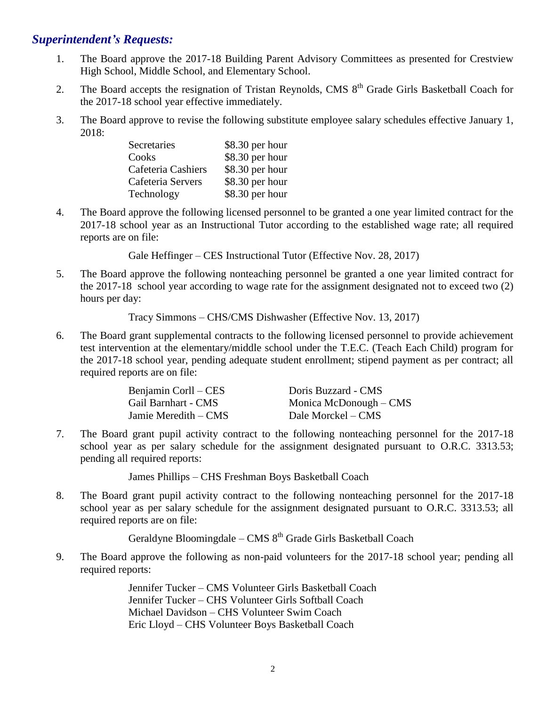#### *Superintendent's Requests:*

- 1. The Board approve the 2017-18 Building Parent Advisory Committees as presented for Crestview High School, Middle School, and Elementary School.
- 2. The Board accepts the resignation of Tristan Reynolds, CMS  $8<sup>th</sup>$  Grade Girls Basketball Coach for the 2017-18 school year effective immediately.
- 3. The Board approve to revise the following substitute employee salary schedules effective January 1, 2018:

| Secretaries        | \$8.30 per hour |
|--------------------|-----------------|
| Cooks              | \$8.30 per hour |
| Cafeteria Cashiers | \$8.30 per hour |
| Cafeteria Servers  | \$8.30 per hour |
| Technology         | \$8.30 per hour |

4. The Board approve the following licensed personnel to be granted a one year limited contract for the 2017-18 school year as an Instructional Tutor according to the established wage rate; all required reports are on file:

Gale Heffinger – CES Instructional Tutor (Effective Nov. 28, 2017)

5. The Board approve the following nonteaching personnel be granted a one year limited contract for the 2017-18 school year according to wage rate for the assignment designated not to exceed two (2) hours per day:

Tracy Simmons – CHS/CMS Dishwasher (Effective Nov. 13, 2017)

6. The Board grant supplemental contracts to the following licensed personnel to provide achievement test intervention at the elementary/middle school under the T.E.C. (Teach Each Child) program for the 2017-18 school year, pending adequate student enrollment; stipend payment as per contract; all required reports are on file:

| Benjamin Corll – CES | Doris Buzzard - CMS    |
|----------------------|------------------------|
| Gail Barnhart - CMS  | Monica McDonough – CMS |
| Jamie Meredith – CMS | Dale Morckel – CMS     |

7. The Board grant pupil activity contract to the following nonteaching personnel for the 2017-18 school year as per salary schedule for the assignment designated pursuant to O.R.C. 3313.53; pending all required reports:

James Phillips – CHS Freshman Boys Basketball Coach

8. The Board grant pupil activity contract to the following nonteaching personnel for the 2017-18 school year as per salary schedule for the assignment designated pursuant to O.R.C. 3313.53; all required reports are on file:

Geraldyne Bloomingdale – CMS 8<sup>th</sup> Grade Girls Basketball Coach

9. The Board approve the following as non-paid volunteers for the 2017-18 school year; pending all required reports:

> Jennifer Tucker – CMS Volunteer Girls Basketball Coach Jennifer Tucker – CHS Volunteer Girls Softball Coach Michael Davidson – CHS Volunteer Swim Coach Eric Lloyd – CHS Volunteer Boys Basketball Coach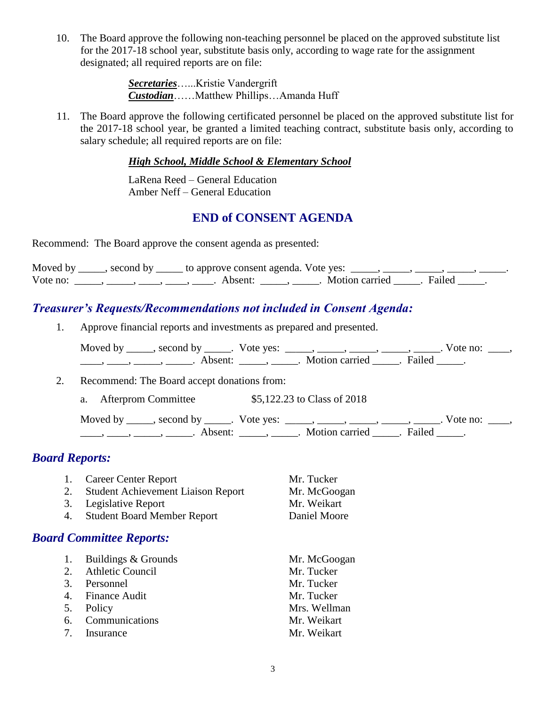10. The Board approve the following non-teaching personnel be placed on the approved substitute list for the 2017-18 school year, substitute basis only, according to wage rate for the assignment designated; all required reports are on file:

> *Secretaries*…...Kristie Vandergrift *Custodian*……Matthew Phillips…Amanda Huff

11. The Board approve the following certificated personnel be placed on the approved substitute list for the 2017-18 school year, be granted a limited teaching contract, substitute basis only, according to salary schedule; all required reports are on file:

*High School, Middle School & Elementary School*

LaRena Reed – General Education Amber Neff – General Education

#### **END of CONSENT AGENDA**

Recommend: The Board approve the consent agenda as presented:

|          | Moved by _____, second by _____ to approve consent agenda. Vote yes: _____, _____, _____, _____, _____, |                           |  |
|----------|---------------------------------------------------------------------------------------------------------|---------------------------|--|
| Vote no: | Absent:                                                                                                 | . Motion carried . Failed |  |

## *Treasurer's Requests/Recommendations not included in Consent Agenda:*

1. Approve financial reports and investments as prepared and presented.

| Moved by ______, second by ______. Vote yes: |                                         | Vote no: |
|----------------------------------------------|-----------------------------------------|----------|
| Absent <sup>.</sup>                          | Example 1 Allen Notion carried a Failed |          |

2. Recommend: The Board accept donations from:

a. Afterprom Committee \$5,122.23 to Class of 2018

Moved by \_\_\_\_\_, second by \_\_\_\_\_. Vote yes:  $\_\_\_\_\_\_\_\_\_\_\_\_\_\_\_$  \_\_\_\_\_, \_\_\_\_\_, \_\_\_\_\_. Vote no:  $\_\_\_\_\_\_\$ \_\_\_\_, \_\_\_\_\_, \_\_\_\_\_\_, Absent: \_\_\_\_\_, \_\_\_\_\_. Motion carried \_\_\_\_\_. Failed \_\_\_\_\_.

#### *Board Reports:*

- 1. Career Center Report Mr. Tucker
- 2. Student Achievement Liaison Report Mr. McGoogan
- 3. Legislative Report Mr. Weikart
- 4. Student Board Member Report Daniel Moore

#### *Board Committee Reports:*

|   | 1. Buildings & Grounds | Mr. McGoogan |
|---|------------------------|--------------|
|   | 2. Athletic Council    | Mr. Tucker   |
|   | 3. Personnel           | Mr. Tucker   |
|   | 4. Finance Audit       | Mr. Tucker   |
|   | 5. Policy              | Mrs. Wellman |
|   | 6. Communications      | Mr. Weikart  |
| 7 | <b>Insurance</b>       | Mr. Weikart  |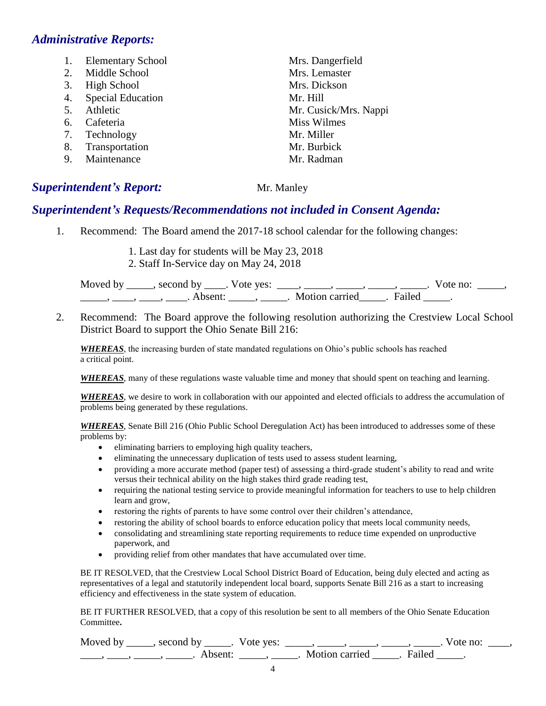#### *Administrative Reports:*

- 1. Elementary School Mrs. Dangerfield
- 2. Middle School Mrs. Lemaster
- 3. High School Mrs. Dickson
- 4. Special Education Mr. Hill
- 
- 6. Cafeteria Miss Wilmes
- 7. Technology Mr. Miller
- 8. Transportation Mr. Burbick
- 9. Maintenance Mr. Radman

### **Superintendent's Report:** Mr. Manley

## *Superintendent's Requests/Recommendations not included in Consent Agenda:*

- 1. Recommend: The Board amend the 2017-18 school calendar for the following changes:
	- 1. Last day for students will be May 23, 2018
	- 2. Staff In-Service day on May 24, 2018

Moved by \_\_\_\_\_, second by \_\_\_\_\_. Vote yes:  $\frac{1}{\sqrt{2}}$ , \_\_\_\_, \_\_\_\_\_, \_\_\_\_\_, \_\_\_\_\_. Vote no: \_\_\_\_\_, \_\_\_\_\_\_, \_\_\_\_\_, \_\_\_\_\_. Absent: \_\_\_\_\_\_, \_\_\_\_\_\_. Motion carried \_\_\_\_\_. Failed \_\_\_\_\_.

2. Recommend: The Board approve the following resolution authorizing the Crestview Local School District Board to support the Ohio Senate Bill 216:

*WHEREAS*, the increasing burden of state mandated regulations on Ohio's public schools has reached a critical point.

*WHEREAS*, many of these regulations waste valuable time and money that should spent on teaching and learning.

*WHEREAS*, we desire to work in collaboration with our appointed and elected officials to address the accumulation of problems being generated by these regulations.

*WHEREAS*, Senate Bill 216 (Ohio Public School Deregulation Act) has been introduced to addresses some of these problems by:

- eliminating barriers to employing high quality teachers,
- eliminating the unnecessary duplication of tests used to assess student learning,
- providing a more accurate method (paper test) of assessing a third-grade student's ability to read and write versus their technical ability on the high stakes third grade reading test,
- requiring the national testing service to provide meaningful information for teachers to use to help children learn and grow,
- restoring the rights of parents to have some control over their children's attendance,
- restoring the ability of school boards to enforce education policy that meets local community needs,
- consolidating and streamlining state reporting requirements to reduce time expended on unproductive paperwork, and
- providing relief from other mandates that have accumulated over time.

BE IT RESOLVED, that the Crestview Local School District Board of Education, being duly elected and acting as representatives of a legal and statutorily independent local board, supports Senate Bill 216 as a start to increasing efficiency and effectiveness in the state system of education.

BE IT FURTHER RESOLVED, that a copy of this resolution be sent to all members of the Ohio Senate Education Committee**.** 

| Moved by | second by | Vote yes: |                |        | vote no: |
|----------|-----------|-----------|----------------|--------|----------|
|          | Absent    |           | Motion carried | Failed |          |

5. Athletic Mr. Cusick/Mrs. Nappi